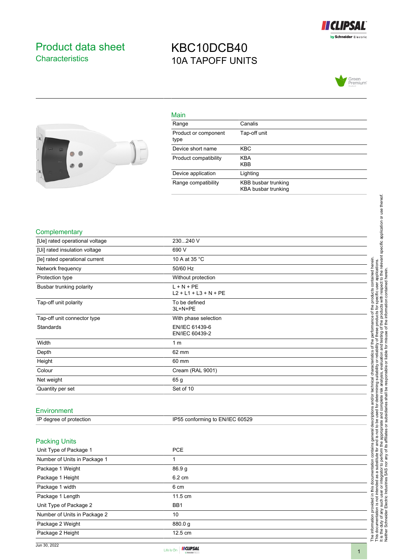

### <span id="page-0-0"></span>Product data sheet **Characteristics**

### KBC10DCB40 10A TAPOFF UNITS





| Main                         |                                            |
|------------------------------|--------------------------------------------|
| Range                        | Canalis                                    |
| Product or component<br>type | Tap-off unit                               |
| Device short name            | <b>KBC</b>                                 |
| Product compatibility        | <b>KBA</b><br><b>KBB</b>                   |
| Device application           | Lighting                                   |
| Range compatibility          | KBB busbar trunking<br>KBA busbar trunking |

#### **Complementary**

| [Ue] rated operational voltage | 230240 V                                |
|--------------------------------|-----------------------------------------|
| [Ui] rated insulation voltage  | 690 V                                   |
| [le] rated operational current | 10 A at 35 °C                           |
| Network frequency              | 50/60 Hz                                |
| Protection type                | Without protection                      |
| Busbar trunking polarity       | $L + N + PE$<br>$L2 + L1 + L3 + N + PE$ |
| Tap-off unit polarity          | To be defined<br>3L+N+PE                |
| Tap-off unit connector type    | With phase selection                    |
| Standards                      | EN/IEC 61439-6<br>EN/IEC 60439-2        |
| Width                          | 1 <sub>m</sub>                          |
| Depth                          | 62 mm                                   |
| Height                         | 60 mm                                   |
| Colour                         | Cream (RAL 9001)                        |
| Net weight                     | 65 g                                    |
| Quantity per set               | Set of 10                               |
|                                |                                         |

#### Environment

| IP degree of protection | IP55 conforming to EN/IEC 60529 |
|-------------------------|---------------------------------|
|                         |                                 |

#### Packing Units

| Unit Type of Package 1       | PCE               |  |
|------------------------------|-------------------|--|
| Number of Units in Package 1 |                   |  |
| Package 1 Weight             | 86.9 <sub>g</sub> |  |
| Package 1 Height             | 6.2 cm            |  |
| Package 1 width              | 6 cm              |  |
| Package 1 Length             | 11.5 cm           |  |
| Unit Type of Package 2       | BB <sub>1</sub>   |  |
| Number of Units in Package 2 | 10                |  |
| Package 2 Weight             | 880.0 g           |  |
| Package 2 Height             | 12.5 cm           |  |



The information provided in this documentation contains general descriptions and/or technical characteristics of the performance of the products contained herein. This documentation is not intended as a substitute for and is not to be used for determining suitability or reliability of these products for specific user applications. It is the duty of any such user or integrator to perform the appropriate and complete risk analysis, evaluation and testing of the products with respect to the relevant specific application or use thereof.

The information provided in this documentation contains general descriptions and/or technical characteristics of the performance of the products contained herein.<br>This documentation is not intended as a substitute for and

Neither Schneider Electric Industries SAS nor any of its affiliates or subsidiaries shall be responsible or liable for misuse of the information contained herein.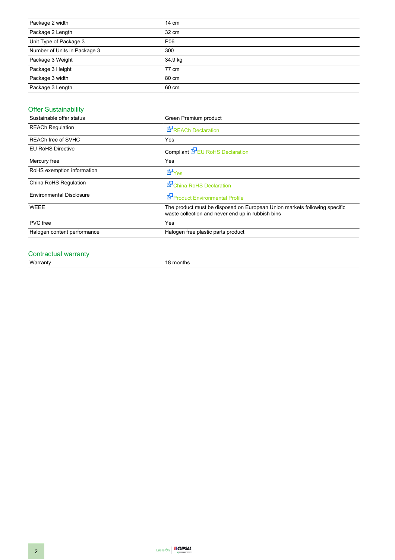| Package 2 width              | 14 cm   |
|------------------------------|---------|
| Package 2 Length             | 32 cm   |
| Unit Type of Package 3       | P06     |
| Number of Units in Package 3 | 300     |
| Package 3 Weight             | 34.9 kg |
| Package 3 Height             | 77 cm   |
| Package 3 width              | 80 cm   |
| Package 3 Length             | 60 cm   |

#### Offer Sustainability

| Sustainable offer status        | Green Premium product                                                                                                          |
|---------------------------------|--------------------------------------------------------------------------------------------------------------------------------|
| <b>REACh Regulation</b>         | REACh Declaration                                                                                                              |
| REACh free of SVHC              | Yes                                                                                                                            |
| <b>EU RoHS Directive</b>        | Compliant <b>E</b> EU RoHS Declaration                                                                                         |
| Mercury free                    | Yes                                                                                                                            |
| RoHS exemption information      | <b>E</b> Yes                                                                                                                   |
| China RoHS Regulation           | China RoHS Declaration                                                                                                         |
| <b>Environmental Disclosure</b> | Product Environmental Profile                                                                                                  |
| <b>WEEE</b>                     | The product must be disposed on European Union markets following specific<br>waste collection and never end up in rubbish bins |
| <b>PVC</b> free                 | Yes                                                                                                                            |
| Halogen content performance     | Halogen free plastic parts product                                                                                             |

# Contractual warranty<br>Warranty

18 months